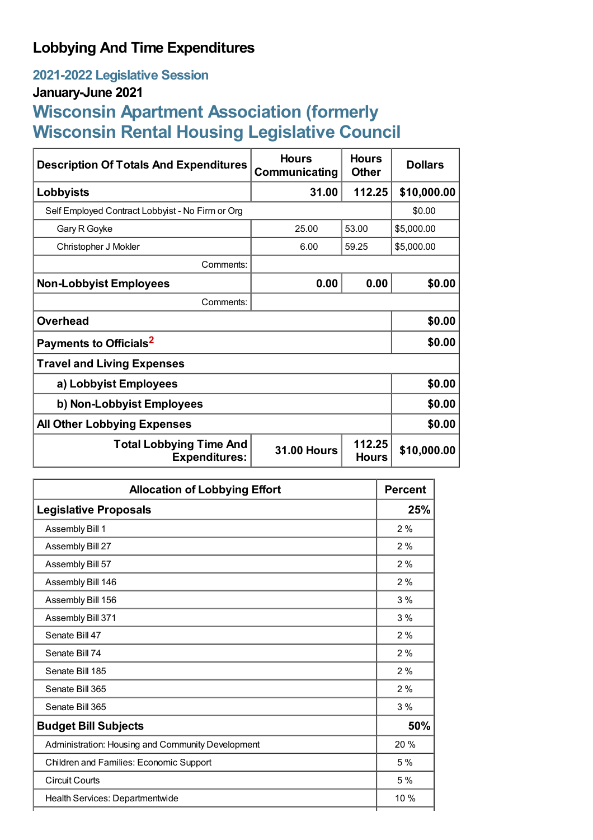# **Lobbying And Time Expenditures**

## **2021-2022 Legislative Session**

## **January-June 2021**

# **Wisconsin Apartment Association (formerly Wisconsin Rental Housing Legislative Council**

| <b>Description Of Totals And Expenditures</b>          | <b>Hours</b><br>Communicating | <b>Hours</b><br><b>Other</b> | <b>Dollars</b> |  |
|--------------------------------------------------------|-------------------------------|------------------------------|----------------|--|
| Lobbyists                                              | 31.00                         | 112.25                       | \$10,000.00    |  |
| Self Employed Contract Lobbyist - No Firm or Org       |                               |                              | \$0.00         |  |
| Gary R Goyke                                           | 25.00                         | 53.00                        | \$5,000.00     |  |
| Christopher J Mokler                                   | 6.00                          | 59.25                        | \$5,000.00     |  |
| Comments:                                              |                               |                              |                |  |
| <b>Non-Lobbyist Employees</b>                          | 0.00                          | 0.00                         | \$0.00         |  |
| Comments:                                              |                               |                              |                |  |
| <b>Overhead</b>                                        |                               |                              | \$0.00         |  |
| Payments to Officials <sup>2</sup>                     |                               |                              | \$0.00         |  |
| <b>Travel and Living Expenses</b>                      |                               |                              |                |  |
| a) Lobbyist Employees                                  | \$0.00                        |                              |                |  |
| b) Non-Lobbyist Employees                              |                               |                              | \$0.00         |  |
| <b>All Other Lobbying Expenses</b>                     |                               |                              | \$0.00         |  |
| <b>Total Lobbying Time And</b><br><b>Expenditures:</b> | <b>31.00 Hours</b>            | 112.25<br><b>Hours</b>       | \$10,000.00    |  |

| <b>Allocation of Lobbying Effort</b>              | <b>Percent</b> |
|---------------------------------------------------|----------------|
| <b>Legislative Proposals</b>                      | 25%            |
| Assembly Bill 1                                   | 2%             |
| Assembly Bill 27                                  | 2%             |
| Assembly Bill 57                                  | 2%             |
| Assembly Bill 146                                 | 2%             |
| Assembly Bill 156                                 | 3%             |
| Assembly Bill 371                                 | 3%             |
| Senate Bill 47                                    | 2%             |
| Senate Bill 74                                    | 2%             |
| Senate Bill 185                                   | 2%             |
| Senate Bill 365                                   | 2%             |
| Senate Bill 365                                   | 3%             |
| <b>Budget Bill Subjects</b>                       | 50%            |
| Administration: Housing and Community Development | 20 %           |
| Children and Families: Economic Support           | 5%             |
| <b>Circuit Courts</b>                             | 5%             |
| Health Services: Departmentwide                   | 10 %           |